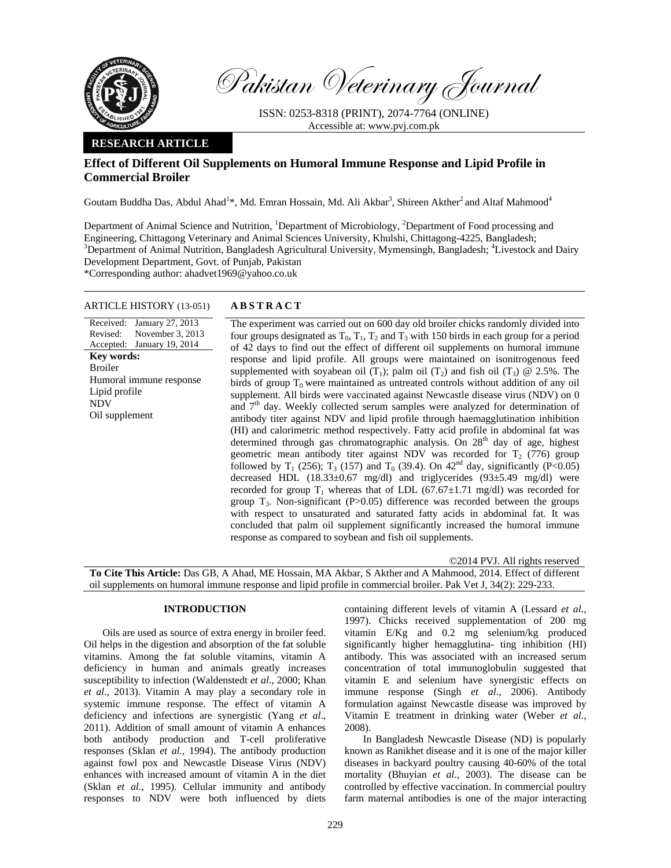

Pakistan Veterinary Journal

ISSN: 0253-8318 (PRINT), 2074-7764 (ONLINE) Accessible at: www.pvj.com.pk

# **RESEARCH ARTICLE**

# **Effect of Different Oil Supplements on Humoral Immune Response and Lipid Profile in Commercial Broiler**

Goutam Buddha Das, Abdul Ahad<sup>1</sup>\*, Md. Emran Hossain, Md. Ali Akbar<sup>3</sup>, Shireen Akther<sup>2</sup> and Altaf Mahmood<sup>4</sup>

Department of Animal Science and Nutrition, <sup>1</sup>Department of Microbiology, <sup>2</sup>Department of Food processing and Engineering, Chittagong Veterinary and Animal Sciences University, Khulshi, Chittagong-4225, Bangladesh; <sup>3</sup>Department of Animal Nutrition, Bangladesh Agricultural University, Mymensingh, Bangladesh; <sup>4</sup>Livestock and Dairy Development Department, Govt. of Punjab, Pakistan

\*Corresponding author: ahadvet1969@yahoo.co.uk

# ARTICLE HISTORY (13-051) **ABSTRACT**

Received: January 27, 2013 Revised: Accepted: January 19, 2014 November 3, 2013 **Key words:**  Broiler Humoral immune response Lipid profile NDV Oil supplement

 The experiment was carried out on 600 day old broiler chicks randomly divided into four groups designated as  $T_0$ ,  $T_1$ ,  $T_2$  and  $T_3$  with 150 birds in each group for a period of 42 days to find out the effect of different oil supplements on humoral immune response and lipid profile. All groups were maintained on isonitrogenous feed supplemented with soyabean oil (T<sub>1</sub>); palm oil (T<sub>2</sub>) and fish oil (T<sub>3</sub>)  $@ 2.5\%$ . The birds of group  $T_0$  were maintained as untreated controls without addition of any oil supplement. All birds were vaccinated against Newcastle disease virus (NDV) on 0 and 7th day. Weekly collected serum samples were analyzed for determination of antibody titer against NDV and lipid profile through haemagglutination inhibition (HI) and calorimetric method respectively. Fatty acid profile in abdominal fat was determined through gas chromatographic analysis. On  $28<sup>th</sup>$  day of age, highest geometric mean antibody titer against NDV was recorded for  $T_2$  (776) group followed by  $T_1$  (256);  $T_3$  (157) and  $T_0$  (39.4). On 42<sup>nd</sup> day, significantly (P<0.05) decreased HDL (18.33±0.67 mg/dl) and triglycerides (93±5.49 mg/dl) were recorded for group  $T_1$  whereas that of LDL (67.67 $\pm$ 1.71 mg/dl) was recorded for group  $T_3$ . Non-significant (P $>0.05$ ) difference was recorded between the groups with respect to unsaturated and saturated fatty acids in abdominal fat. It was concluded that palm oil supplement significantly increased the humoral immune response as compared to soybean and fish oil supplements.

©2014 PVJ. All rights reserved **To Cite This Article:** Das GB, A Ahad, ME Hossain, MA Akbar, S Akther and A Mahmood, 2014. Effect of different oil supplements on humoral immune response and lipid profile in commercial broiler. Pak Vet J, 34(2): 229-233.

# **INTRODUCTION**

Oils are used as source of extra energy in broiler feed. Oil helps in the digestion and absorption of the fat soluble vitamins. Among the fat soluble vitamins, vitamin A deficiency in human and animals greatly increases susceptibility to infection (Waldenstedt *et al*., 2000; Khan *et al*., 2013). Vitamin A may play a secondary role in systemic immune response. The effect of vitamin A deficiency and infections are synergistic (Yang *et al*., 2011). Addition of small amount of vitamin A enhances both antibody production and T-cell proliferative responses (Sklan *et al.,* 1994). The antibody production against fowl pox and Newcastle Disease Virus (NDV) enhances with increased amount of vitamin A in the diet (Sklan *et al.,* 1995). Cellular immunity and antibody responses to NDV were both influenced by diets

containing different levels of vitamin A (Lessard *et al.,* 1997). Chicks received supplementation of 200 mg vitamin E/Kg and 0.2 mg selenium/kg produced significantly higher hemagglutina- ting inhibition (HI) antibody. This was associated with an increased serum concentration of total immunoglobulin suggested that vitamin E and selenium have synergistic effects on immune response (Singh *et al*., 2006). Antibody formulation against Newcastle disease was improved by Vitamin E treatment in drinking water (Weber *et al*., 2008).

In Bangladesh Newcastle Disease (ND) is popularly known as Ranikhet disease and it is one of the major killer diseases in backyard poultry causing 40-60% of the total mortality (Bhuyian *et al*., 2003). The disease can be controlled by effective vaccination. In commercial poultry farm maternal antibodies is one of the major interacting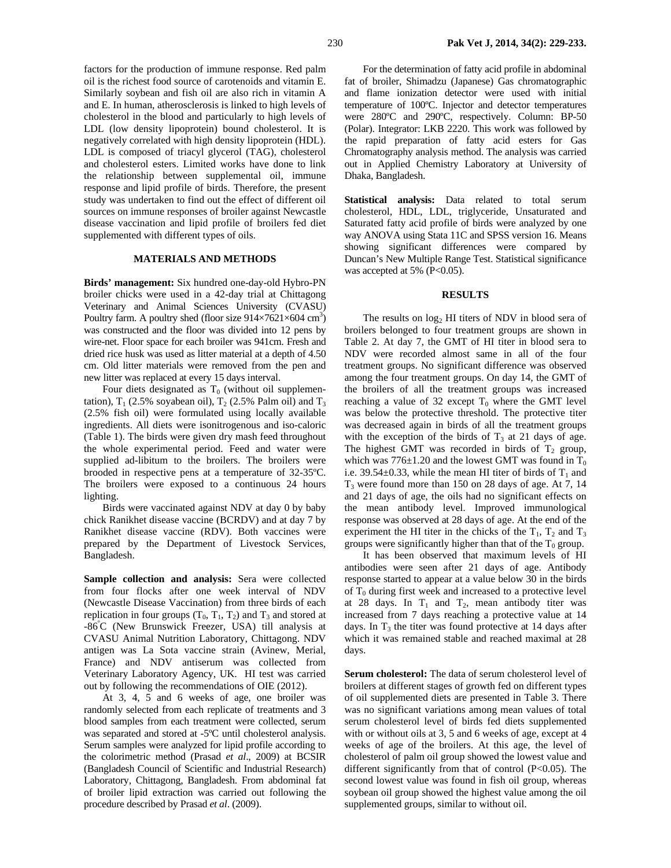factors for the production of immune response. Red palm oil is the richest food source of carotenoids and vitamin E. Similarly soybean and fish oil are also rich in vitamin A and E. In human, atherosclerosis is linked to high levels of cholesterol in the blood and particularly to high levels of LDL (low density lipoprotein) bound cholesterol. It is negatively correlated with high density lipoprotein (HDL). LDL is composed of triacyl glycerol (TAG), cholesterol and cholesterol esters. Limited works have done to link the relationship between supplemental oil, immune response and lipid profile of birds. Therefore, the present study was undertaken to find out the effect of different oil sources on immune responses of broiler against Newcastle disease vaccination and lipid profile of broilers fed diet supplemented with different types of oils.

## **MATERIALS AND METHODS**

**Birds' management:** Six hundred one-day-old Hybro-PN broiler chicks were used in a 42-day trial at Chittagong Veterinary and Animal Sciences University (CVASU) Poultry farm. A poultry shed (floor size  $914 \times 7621 \times 604$  cm<sup>3</sup>) was constructed and the floor was divided into 12 pens by wire-net. Floor space for each broiler was 941cm. Fresh and dried rice husk was used as litter material at a depth of 4.50 cm. Old litter materials were removed from the pen and new litter was replaced at every 15 days interval.

Four diets designated as  $T_0$  (without oil supplementation),  $T_1$  (2.5% soyabean oil),  $T_2$  (2.5% Palm oil) and  $T_3$ (2.5% fish oil) were formulated using locally available ingredients. All diets were isonitrogenous and iso-caloric (Table 1). The birds were given dry mash feed throughout the whole experimental period. Feed and water were supplied ad-libitum to the broilers. The broilers were brooded in respective pens at a temperature of 32-35ºC. The broilers were exposed to a continuous 24 hours lighting.

Birds were vaccinated against NDV at day 0 by baby chick Ranikhet disease vaccine (BCRDV) and at day 7 by Ranikhet disease vaccine (RDV). Both vaccines were prepared by the Department of Livestock Services, Bangladesh.

**Sample collection and analysis:** Sera were collected from four flocks after one week interval of NDV (Newcastle Disease Vaccination) from three birds of each replication in four groups  $(T_0, T_1, T_2)$  and  $T_3$  and stored at -86<sup>º</sup> C (New Brunswick Freezer, USA) till analysis at CVASU Animal Nutrition Laboratory, Chittagong. NDV antigen was La Sota vaccine strain (Avinew, Merial, France) and NDV antiserum was collected from Veterinary Laboratory Agency, UK. HI test was carried out by following the recommendations of OIE (2012).

At 3, 4, 5 and 6 weeks of age, one broiler was randomly selected from each replicate of treatments and 3 blood samples from each treatment were collected, serum was separated and stored at -5ºC until cholesterol analysis. Serum samples were analyzed for lipid profile according to the colorimetric method (Prasad *et al*., 2009) at BCSIR (Bangladesh Council of Scientific and Industrial Research) Laboratory, Chittagong, Bangladesh. From abdominal fat of broiler lipid extraction was carried out following the procedure described by Prasad *et al*. (2009).

For the determination of fatty acid profile in abdominal fat of broiler, Shimadzu (Japanese) Gas chromatographic and flame ionization detector were used with initial temperature of 100ºC. Injector and detector temperatures were 280ºC and 290ºC, respectively. Column: BP-50 (Polar). Integrator: LKB 2220. This work was followed by the rapid preparation of fatty acid esters for Gas Chromatography analysis method. The analysis was carried out in Applied Chemistry Laboratory at University of Dhaka, Bangladesh.

**Statistical analysis:** Data related to total serum cholesterol, HDL, LDL, triglyceride, Unsaturated and Saturated fatty acid profile of birds were analyzed by one way ANOVA using Stata 11C and SPSS version 16. Means showing significant differences were compared by Duncan's New Multiple Range Test. Statistical significance was accepted at 5% ( $P<0.05$ ).

### **RESULTS**

The results on  $log<sub>2</sub>$  HI titers of NDV in blood sera of broilers belonged to four treatment groups are shown in Table 2. At day 7, the GMT of HI titer in blood sera to NDV were recorded almost same in all of the four treatment groups. No significant difference was observed among the four treatment groups. On day 14, the GMT of the broilers of all the treatment groups was increased reaching a value of 32 except  $T_0$  where the GMT level was below the protective threshold. The protective titer was decreased again in birds of all the treatment groups with the exception of the birds of  $T_3$  at 21 days of age. The highest GMT was recorded in birds of  $T_2$  group, which was  $776\pm1.20$  and the lowest GMT was found in T<sub>0</sub> i.e. 39.54 $\pm$ 0.33, while the mean HI titer of birds of T<sub>1</sub> and  $T<sub>3</sub>$  were found more than 150 on 28 days of age. At 7, 14 and 21 days of age, the oils had no significant effects on the mean antibody level. Improved immunological response was observed at 28 days of age. At the end of the experiment the HI titer in the chicks of the  $T_1$ ,  $T_2$  and  $T_3$ groups were significantly higher than that of the  $T_0$  group.

It has been observed that maximum levels of HI antibodies were seen after 21 days of age. Antibody response started to appear at a value below 30 in the birds of  $T_0$  during first week and increased to a protective level at 28 days. In  $T_1$  and  $T_2$ , mean antibody titer was increased from 7 days reaching a protective value at 14 days. In  $T_3$  the titer was found protective at 14 days after which it was remained stable and reached maximal at 28 days.

**Serum cholesterol:** The data of serum cholesterol level of broilers at different stages of growth fed on different types of oil supplemented diets are presented in Table 3. There was no significant variations among mean values of total serum cholesterol level of birds fed diets supplemented with or without oils at 3, 5 and 6 weeks of age, except at 4 weeks of age of the broilers. At this age, the level of cholesterol of palm oil group showed the lowest value and different significantly from that of control (P<0.05). The second lowest value was found in fish oil group, whereas soybean oil group showed the highest value among the oil supplemented groups, similar to without oil.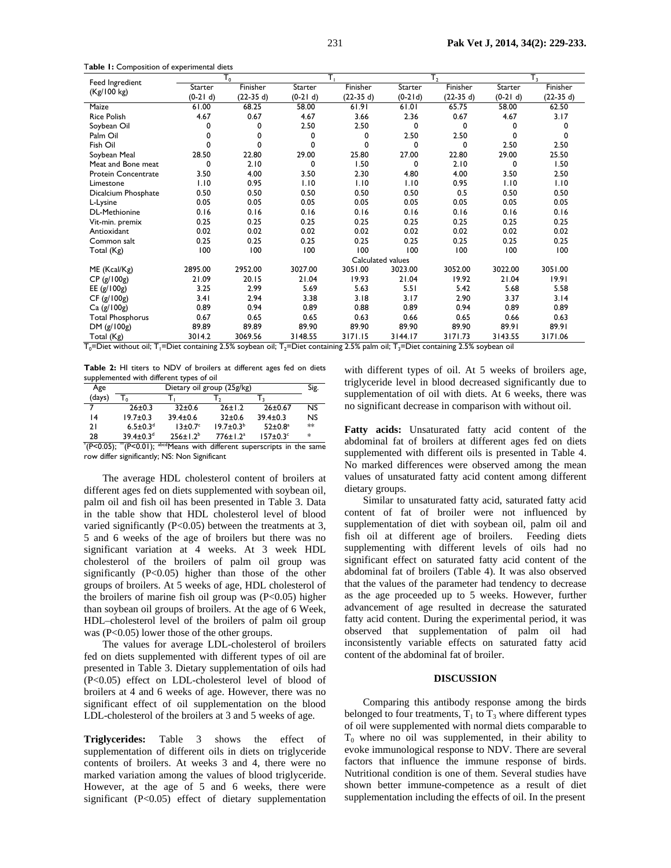T**able 1:** Composition of experimental diets

| Feed Ingredient         | $T_{0}$           |             |            |            |           | T <sub>2</sub> |            | $T_3$      |  |
|-------------------------|-------------------|-------------|------------|------------|-----------|----------------|------------|------------|--|
| (Kg/100 kg)             | Starter           | Finisher    | Starter    | Finisher   | Starter   | Finisher       | Starter    | Finisher   |  |
|                         | $(0-21 d)$        | $(22-35 d)$ | $(0-21 d)$ | $(22-35d)$ | $(0-21d)$ | $(22-35d)$     | $(0-21 d)$ | $(22-35d)$ |  |
| Maize                   | 61.00             | 68.25       | 58.00      | 61.91      | 61.01     | 65.75          | 58.00      | 62.50      |  |
| <b>Rice Polish</b>      | 4.67              | 0.67        | 4.67       | 3.66       | 2.36      | 0.67           | 4.67       | 3.17       |  |
| Soybean Oil             | 0                 | 0           | 2.50       | 2.50       | 0         | 0              | 0          | 0          |  |
| Palm Oil                | 0                 | 0           | 0          | 0          | 2.50      | 2.50           | 0          | 0          |  |
| Fish Oil                | 0                 | 0           | 0          | 0          | 0         | 0              | 2.50       | 2.50       |  |
| Soybean Meal            | 28.50             | 22.80       | 29.00      | 25.80      | 27.00     | 22.80          | 29.00      | 25.50      |  |
| Meat and Bone meat      | 0                 | 2.10        | 0          | 1.50       | 0         | 2.10           | 0          | 1.50       |  |
| Protein Concentrate     | 3.50              | 4.00        | 3.50       | 2.30       | 4.80      | 4.00           | 3.50       | 2.50       |  |
| Limestone               | 1.10              | 0.95        | 1.10       | 1.10       | 1.10      | 0.95           | 1.10       | 1.10       |  |
| Dicalcium Phosphate     | 0.50              | 0.50        | 0.50       | 0.50       | 0.50      | 0.5            | 0.50       | 0.50       |  |
| L-Lysine                | 0.05              | 0.05        | 0.05       | 0.05       | 0.05      | 0.05           | 0.05       | 0.05       |  |
| <b>DL-Methionine</b>    | 0.16              | 0.16        | 0.16       | 0.16       | 0.16      | 0.16           | 0.16       | 0.16       |  |
| Vit-min. premix         | 0.25              | 0.25        | 0.25       | 0.25       | 0.25      | 0.25           | 0.25       | 0.25       |  |
| Antioxidant             | 0.02              | 0.02        | 0.02       | 0.02       | 0.02      | 0.02           | 0.02       | 0.02       |  |
| Common salt             | 0.25              | 0.25        | 0.25       | 0.25       | 0.25      | 0.25           | 0.25       | 0.25       |  |
| Total (Kg)              | 100               | 100         | 100        | 100        | 100       | 100            | 100        | 100        |  |
|                         | Calculated values |             |            |            |           |                |            |            |  |
| ME (Kcal/Kg)            | 2895.00           | 2952.00     | 3027.00    | 3051.00    | 3023.00   | 3052.00        | 3022.00    | 3051.00    |  |
| CP (g/100g)             | 21.09             | 20.15       | 21.04      | 19.93      | 21.04     | 19.92          | 21.04      | 19.91      |  |
| EE (g/100g)             | 3.25              | 2.99        | 5.69       | 5.63       | 5.51      | 5.42           | 5.68       | 5.58       |  |
| CF (g/100g)             | 3.41              | 2.94        | 3.38       | 3.18       | 3.17      | 2.90           | 3.37       | 3.14       |  |
| Ca (g/100g)             | 0.89              | 0.94        | 0.89       | 0.88       | 0.89      | 0.94           | 0.89       | 0.89       |  |
| <b>Total Phosphorus</b> | 0.67              | 0.65        | 0.65       | 0.63       | 0.66      | 0.65           | 0.66       | 0.63       |  |
| DM (g/100g)             | 89.89             | 89.89       | 89.90      | 89.90      | 89.90     | 89.90          | 89.91      | 89.91      |  |
| Total (Kg)              | 3014.2            | 3069.56     | 3148.55    | 3171.15    | 3144.17   | 3171.73        | 3143.55    | 3171.06    |  |

 $T_0$ =Diet without oil; T<sub>1</sub>=Diet containing 2.5% soybean oil; T<sub>2</sub>=Diet containing 2.5% palm oil; T<sub>3</sub>=Diet containing 2.5% soybean oil

**Table 2:** HI titers to NDV of broilers at different ages fed on diets supplemented with different types of oil

| Age                           | Dietary oil group (25g/kg)  |                                                   |                            |                            |           |
|-------------------------------|-----------------------------|---------------------------------------------------|----------------------------|----------------------------|-----------|
| (days)                        |                             |                                                   |                            |                            |           |
|                               | $26 \pm 0.3$                | $32+0.6$                                          | $26 \pm 1.2$               | $26 \pm 0.67$              | <b>NS</b> |
| 4                             | $19.7 \pm 0.3$              | $39.4 \pm 0.6$                                    | $32 \pm 0.6$               | $39.4 \pm 0.3$             | <b>NS</b> |
| 21                            | $6.5 \pm 0.3$ <sup>d</sup>  | $13\pm0.7^{\circ}$                                | $19.7 \pm 0.3^{b}$         | $52 \pm 0.8^a$             | $**$      |
| 28                            | $39.4 \pm 0.3$ <sup>d</sup> | $256 \pm 1.2^b$                                   | $776 \pm 1.2$ <sup>a</sup> | $157 \pm 0.3$ <sup>c</sup> | $*$       |
| $^{\ast}$ (P<0.05); $^{\ast}$ | $(P<0.01)$ ;                | abcdMeans with different superscripts in the same |                            |                            |           |

row differ significantly; NS: Non Significant

The average HDL cholesterol content of broilers at different ages fed on diets supplemented with soybean oil, palm oil and fish oil has been presented in Table 3. Data in the table show that HDL cholesterol level of blood varied significantly  $(P<0.05)$  between the treatments at 3, 5 and 6 weeks of the age of broilers but there was no significant variation at 4 weeks. At 3 week HDL cholesterol of the broilers of palm oil group was significantly (P<0.05) higher than those of the other groups of broilers. At 5 weeks of age, HDL cholesterol of the broilers of marine fish oil group was (P<0.05) higher than soybean oil groups of broilers. At the age of 6 Week, HDL–cholesterol level of the broilers of palm oil group was (P<0.05) lower those of the other groups.

The values for average LDL-cholesterol of broilers fed on diets supplemented with different types of oil are presented in Table 3. Dietary supplementation of oils had (P<0.05) effect on LDL-cholesterol level of blood of broilers at 4 and 6 weeks of age. However, there was no significant effect of oil supplementation on the blood LDL-cholesterol of the broilers at 3 and 5 weeks of age.

**Triglycerides:** Table 3 shows the effect of supplementation of different oils in diets on triglyceride contents of broilers. At weeks 3 and 4, there were no marked variation among the values of blood triglyceride. However, at the age of 5 and 6 weeks, there were significant (P<0.05) effect of dietary supplementation

with different types of oil. At 5 weeks of broilers age, triglyceride level in blood decreased significantly due to supplementation of oil with diets. At 6 weeks, there was no significant decrease in comparison with without oil.

**Fatty acids:** Unsaturated fatty acid content of the abdominal fat of broilers at different ages fed on diets supplemented with different oils is presented in Table 4. No marked differences were observed among the mean values of unsaturated fatty acid content among different dietary groups.

Similar to unsaturated fatty acid, saturated fatty acid content of fat of broiler were not influenced by supplementation of diet with soybean oil, palm oil and fish oil at different age of broilers. Feeding diets supplementing with different levels of oils had no significant effect on saturated fatty acid content of the abdominal fat of broilers (Table 4). It was also observed that the values of the parameter had tendency to decrease as the age proceeded up to 5 weeks. However, further advancement of age resulted in decrease the saturated fatty acid content. During the experimental period, it was observed that supplementation of palm oil had inconsistently variable effects on saturated fatty acid content of the abdominal fat of broiler.

## **DISCUSSION**

Comparing this antibody response among the birds belonged to four treatments,  $T_1$  to  $T_3$  where different types of oil were supplemented with normal diets comparable to  $T_0$  where no oil was supplemented, in their ability to evoke immunological response to NDV. There are several factors that influence the immune response of birds. Nutritional condition is one of them. Several studies have shown better immune-competence as a result of diet supplementation including the effects of oil. In the present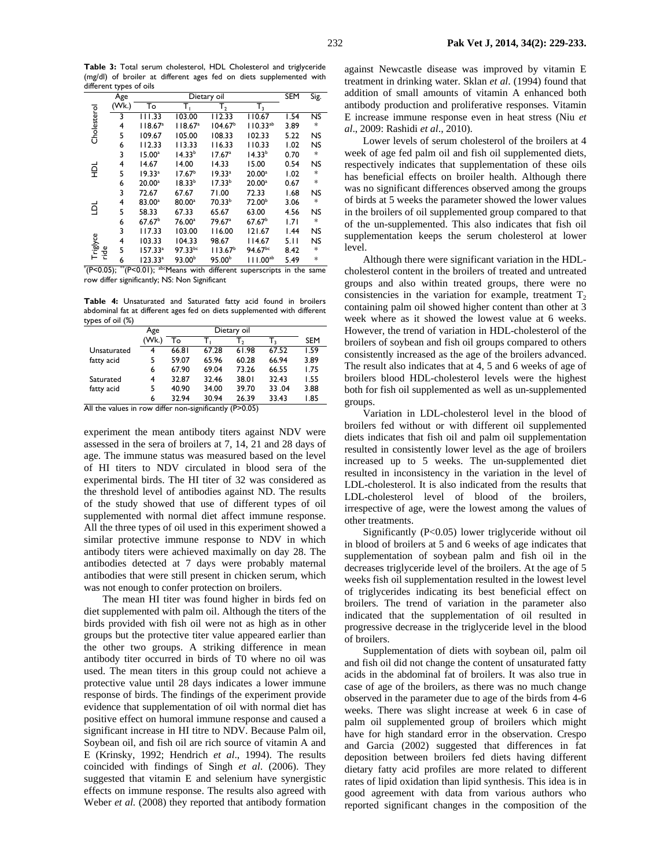Dietary oil SEM Sig. Age (Wk.) Cholesterol To  $T_1$   $T_2$   $T_3$ Cholesterol 3 111.33 103.00 112.33 110.67 1.54 NS 118.67a  $104.67<sup>b</sup>$ 4 118.67<sup>a</sup>  $110.33^{ab}$  3.89  $*$ 5 109.67 105.00 108.33 102.33 5.22 NS 113.33 3 15.00a  $14.33<sup>b</sup>$  17.67a  $14.33<sup>b</sup>$  0.70 \* 4 14.67 14.00 14.33 15.00 0.54 NS 료 5 19.33a  $17.67<sup>b</sup>$  19.33a 20.00a  $1.02$  $18.33<sup>b</sup>$  $17.33<sup>b</sup>$  $6 \qquad 20.00^{\circ}$  20.00a 0.67 \* 3 72.67 67.67 71.00 72.33 1.68 4 83.00a 80.00a 70.33b 72.00b 3.06 LDL 5 58.33 67.33 65.67 63.00 4.56 NS 6 67.67b 76.00a 79.67a 67.67b 1.71 \* 3 117.33 103.00 116.00 121.67 1.44 NS **Triglyce** 104.33 98.67 114.67 ride 5 157.33a  $97.33^{bc}$  113.67<sup>b</sup>  $94.67^{bc}$  8.42 \*  $93.00<sup>b</sup>$  $95.00<sup>b</sup>$ 

**Table 3:** Total serum cholesterol, HDL Cholesterol and triglyceride (mg/dl) of broiler at different ages fed on diets supplemented with different types of oils

H <sup>1⊑</sup> 6 123.33<sup>a</sup><br>(P<0.05); <sup>™</sup>(P<0.01); <sup>ab</sup> <sup>1</sup> <sup>12</sup> 6  $123.33^a$  93.00<sup>b</sup> 95.00<sup>b</sup> 111.00<sup>ab</sup> 5.49 <sup>\*</sup><br>
<sup>\*</sup> (P<0.05); <sup>\*</sup> (P<0.01); <sup>abc</sup>Means with different superscripts in the same row differ significantly; NS: Non Significant

**Table 4:** Unsaturated and Saturated fatty acid found in broilers abdominal fat at different ages fed on diets supplemented with different types of oil (%)

|             | Age  |       |       |       |       |            |
|-------------|------|-------|-------|-------|-------|------------|
|             | (Wk) | То    |       | т,    |       | <b>SEM</b> |
| Unsaturated | 4    | 66.81 | 67.28 | 61.98 | 67.52 | 1.59       |
| fatty acid  | 5    | 59.07 | 65.96 | 60.28 | 66.94 | 3.89       |
|             | 6    | 67.90 | 69.04 | 73.26 | 66.55 | 1.75       |
| Saturated   | 4    | 32.87 | 32.46 | 38.01 | 32.43 | 1.55       |
| fatty acid  | 5    | 40.90 | 34.00 | 39.70 | 33.04 | 3.88       |
|             | 6    | 32.94 | 30.94 | 26.39 | 33.43 | 1.85       |

All the values in row differ non-significantly (P>0.05)

experiment the mean antibody titers against NDV were assessed in the sera of broilers at 7, 14, 21 and 28 days of age. The immune status was measured based on the level of HI titers to NDV circulated in blood sera of the experimental birds. The HI titer of 32 was considered as the threshold level of antibodies against ND. The results of the study showed that use of different types of oil supplemented with normal diet affect immune response. All the three types of oil used in this experiment showed a similar protective immune response to NDV in which antibody titers were achieved maximally on day 28. The antibodies detected at 7 days were probably maternal antibodies that were still present in chicken serum, which was not enough to confer protection on broilers.

The mean HI titer was found higher in birds fed on diet supplemented with palm oil. Although the titers of the birds provided with fish oil were not as high as in other groups but the protective titer value appeared earlier than the other two groups. A striking difference in mean antibody titer occurred in birds of T0 where no oil was used. The mean titers in this group could not achieve a protective value until 28 days indicates a lower immune response of birds. The findings of the experiment provide evidence that supplementation of oil with normal diet has positive effect on humoral immune response and caused a significant increase in HI titre to NDV. Because Palm oil, Soybean oil, and fish oil are rich source of vitamin A and E (Krinsky, 1992; Hendrich *et al*., 1994). The results coincided with findings of Singh *et al*. (2006). They suggested that vitamin E and selenium have synergistic effects on immune response. The results also agreed with Weber *et al.* (2008) they reported that antibody formation

against Newcastle disease was improved by vitamin E treatment in drinking water. Sklan *et al*. (1994) found that addition of small amounts of vitamin A enhanced both antibody production and proliferative responses. Vitamin E increase immune response even in heat stress (Niu *et al*., 2009: Rashidi *et al*., 2010).

Lower levels of serum cholesterol of the broilers at 4 week of age fed palm oil and fish oil supplemented diets, respectively indicates that supplementation of these oils has beneficial effects on broiler health. Although there was no significant differences observed among the groups of birds at 5 weeks the parameter showed the lower values in the broilers of oil supplemented group compared to that of the un-supplemented. This also indicates that fish oil supplementation keeps the serum cholesterol at lower level.

Although there were significant variation in the HDLcholesterol content in the broilers of treated and untreated groups and also within treated groups, there were no consistencies in the variation for example, treatment  $T<sub>2</sub>$ containing palm oil showed higher content than other at 3 week where as it showed the lowest value at 6 weeks. However, the trend of variation in HDL-cholesterol of the broilers of soybean and fish oil groups compared to others consistently increased as the age of the broilers advanced. The result also indicates that at 4, 5 and 6 weeks of age of broilers blood HDL-cholesterol levels were the highest both for fish oil supplemented as well as un-supplemented groups.

Variation in LDL-cholesterol level in the blood of broilers fed without or with different oil supplemented diets indicates that fish oil and palm oil supplementation resulted in consistently lower level as the age of broilers increased up to 5 weeks. The un-supplemented diet resulted in inconsistency in the variation in the level of LDL-cholesterol. It is also indicated from the results that LDL-cholesterol level of blood of the broilers, irrespective of age, were the lowest among the values of other treatments.

Significantly (P<0.05) lower triglyceride without oil in blood of broilers at 5 and 6 weeks of age indicates that supplementation of soybean palm and fish oil in the decreases triglyceride level of the broilers. At the age of 5 weeks fish oil supplementation resulted in the lowest level of triglycerides indicating its best beneficial effect on broilers. The trend of variation in the parameter also indicated that the supplementation of oil resulted in progressive decrease in the triglyceride level in the blood of broilers.

Supplementation of diets with soybean oil, palm oil and fish oil did not change the content of unsaturated fatty acids in the abdominal fat of broilers. It was also true in case of age of the broilers, as there was no much change observed in the parameter due to age of the birds from 4-6 weeks. There was slight increase at week 6 in case of palm oil supplemented group of broilers which might have for high standard error in the observation. Crespo and Garcia (2002) suggested that differences in fat deposition between broilers fed diets having different dietary fatty acid profiles are more related to different rates of lipid oxidation than lipid synthesis. This idea is in good agreement with data from various authors who reported significant changes in the composition of the